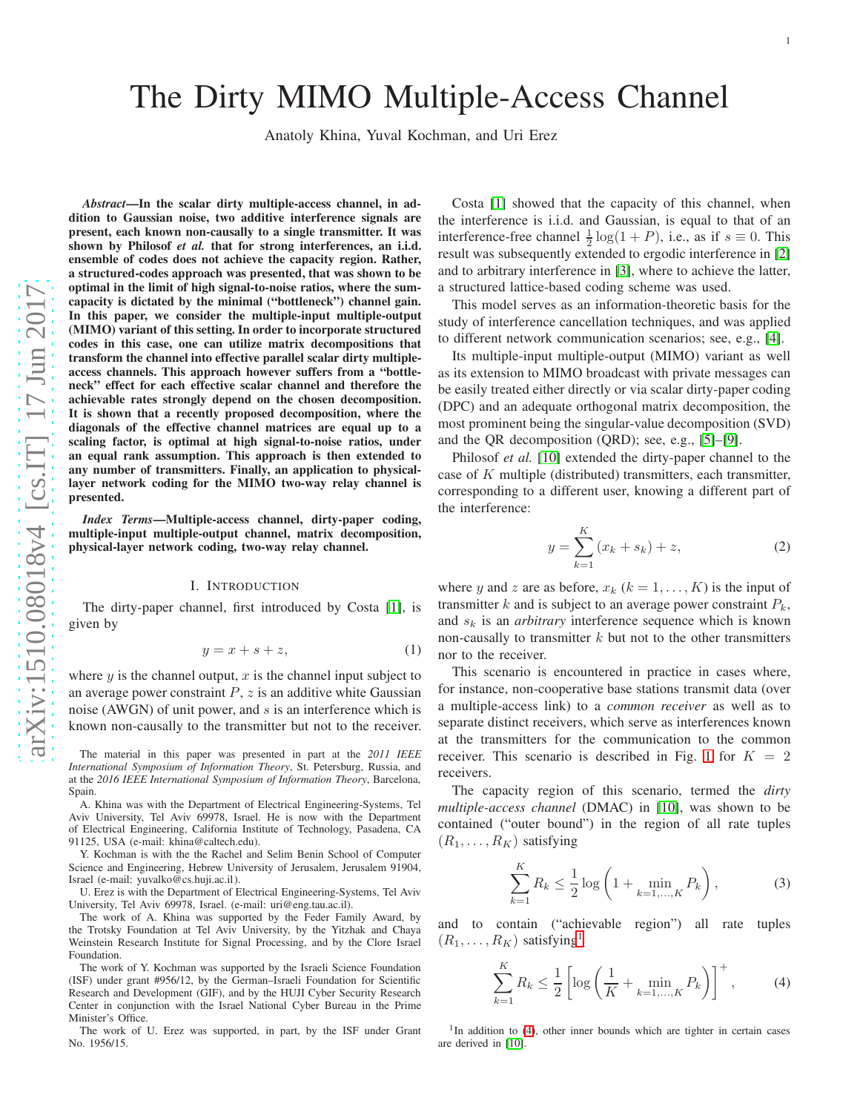# The Dirty MIMO Multiple-Access Channel

Anatoly Khina, Yuval Kochman, and Uri Erez

arXiv:1510.08018v4 [cs.IT] 17 Jun 2017 [arXiv:1510.08018v4 \[cs.IT\] 17 Jun 2017](http://arxiv.org/abs/1510.08018v4)

*Abstract*—In the scalar dirty multiple-access channel, in addition to Gaussian noise, two additive interference signals are present, each known non-causally to a single transmitter. It was shown by Philosof et al. that for strong interferences, an i.i.d. ensemble of codes does not achieve the capacity region. Rather, a structured-codes approach was presented, that was shown to be optimal in the limit of high signal-to-noise ratios, where the sumcapacity is dictated by the minimal ("bottleneck") channel gain. In this paper, we consider the multiple-input multiple-output (MIMO) variant of this setting. In order to incorporate structured codes in this case, one can utilize matrix decompositions that transform the channel into effective parallel scalar dirty multipleaccess channels. This approach however suffers from a "bottleneck" effect for each effective scalar channel and therefore the achievable rates strongly depend on the chosen decomposition. It is shown that a recently proposed decomposition, where th e diagonals of the effective channel matrices are equal up to a scaling factor, is optimal at high signal-to-noise ratios, under an equal rank assumption. This approach is then extended to any number of transmitters. Finally, an application to physicallayer network coding for the MIMO two-way relay channel is presented.

*Index Terms*—Multiple-access channel, dirty-paper coding, multiple-input multiple-output channel, matrix decomposition, physical-layer network coding, two-way relay channel.

#### I. INTRODUCTION

The dirty-paper channel, first introduced by Costa [\[1\]](#page-8-0), is given by

$$
y = x + s + z,\tag{1}
$$

where  $y$  is the channel output,  $x$  is the channel input subject to an average power constraint  $P$ ,  $z$  is an additive white Gaussian noise (AWGN) of unit power, and  $s$  is an interference which is known non-causally to the transmitter but not to the receiver.

The material in this paper was presented in part at the *2011 IEEE International Symposium of Information Theory*, St. Petersburg, Russia, and at the *2016 IEEE International Symposium of Information Theory*, Barcelona, Spain.

A. Khina was with the Department of Electrical Engineering-Systems, Tel Aviv University, Tel Aviv 69978, Israel. He is now with the Department of Electrical Engineering, California Institute of Technology, Pasadena, CA 91125, USA (e-mail: khina@caltech.edu).

Y. Kochman is with the the Rachel and Selim Benin School of Computer Science and Engineering, Hebrew University of Jerusalem, Jerusalem 91904, Israel (e-mail: yuvalko@cs.huji.ac.il ).

U. Erez is with the Department of Electrical Engineering-Systems, Tel Aviv University, Tel Aviv 69978, Israel. (e-mail: uri@eng.tau.ac.il).

The work of A. Khina was supported by the Feder Family Award, b y the Trotsky Foundation at Tel Aviv University, by the Yitzhak and Chaya Weinstein Research Institute for Signal Processing, and by the Clore Israel Foundation.

The work of Y. Kochman was supported by the Israeli Science Foundation (ISF) under grant #956/12, by the German–Israeli Foundation for Scientific Research and Development (GIF), and by the HUJI Cyber Security Research Center in conjunction with the Israel National Cyber Bureau in the Prime Minister's Office.

The work of U. Erez was supported, in part, by the ISF under Grant No. 1956/15.

Costa [\[1\]](#page-8-0) showed that the capacity of this channel, when the interference is i.i.d. and Gaussian, is equal to that of a n interference-free channel  $\frac{1}{2} \log(1+P)$ , i.e., as if  $s \equiv 0$ . This result was subsequently extended to ergodic interference in [\[2\]](#page-8-1) and to arbitrary interference in [\[3\]](#page-8-2), where to achieve the latter, a structured lattice-based coding scheme was used.

This model serves as an information-theoretic basis for the study of interference cancellation techniques, and was applied to different network communication scenarios; see, e.g., [\[4\]](#page-8-3).

Its multiple-input multiple-output (MIMO) variant as well as its extension to MIMO broadcast with private messages can be easily treated either directly or via scalar dirty-paper coding (DPC) and an adequate orthogonal matrix decomposition, the most prominent being the singular-value decomposition (SVD) and the QR decomposition (QRD); see, e.g., [\[5\]](#page-8-4)–[\[9\]](#page-8-5).

Philosof *et al.* [\[10\]](#page-8-6) extended the dirty-paper channel to the case of K multiple (distributed) transmitters, each transmitter, corresponding to a different user, knowing a different part of the interference:

<span id="page-0-3"></span>
$$
y = \sum_{k=1}^{K} (x_k + s_k) + z,
$$
 (2)

where y and z are as before,  $x_k$  ( $k = 1, ..., K$ ) is the input of transmitter  $k$  and is subject to an average power constraint  $P_k$ , and  $s_k$  is an *arbitrary* interference sequence which is known non-causally to transmitter  $k$  but not to the other transmitters nor to the receiver.

<span id="page-0-2"></span>This scenario is encountered in practice in cases where, for instance, non-cooperative base stations transmit data (over a multiple-access link) to a *common receiver* as well as to separate distinct receivers, which serve as interferences known at the transmitters for the communication to the common receiver. This scenario is described in Fig. [1](#page-1-0) for  $K = 2$ receivers.

The capacity region of this scenario, termed the *dirty multiple-access channel* (DMAC) in [\[10\]](#page-8-6), was shown to be contained ("outer bound") in the region of all rate tuples  $(R_1, \ldots, R_K)$  satisfying

<span id="page-0-4"></span>
$$
\sum_{k=1}^{K} R_k \le \frac{1}{2} \log \left( 1 + \min_{k=1,\dots,K} P_k \right),\tag{3}
$$

and to contain ("achievable region") all rate tuples  $(R_1, \ldots, R_K)$  $(R_1, \ldots, R_K)$  $(R_1, \ldots, R_K)$  satisfying<sup>1</sup>

<span id="page-0-1"></span>
$$
\sum_{k=1}^{K} R_k \le \frac{1}{2} \left[ \log \left( \frac{1}{K} + \min_{k=1,\dots,K} P_k \right) \right]^+, \tag{4}
$$

<span id="page-0-0"></span><sup>1</sup>In addition to [\(4\)](#page-0-1), other inner bounds which are tighter in certain cases are derived in [\[10\]](#page-8-6).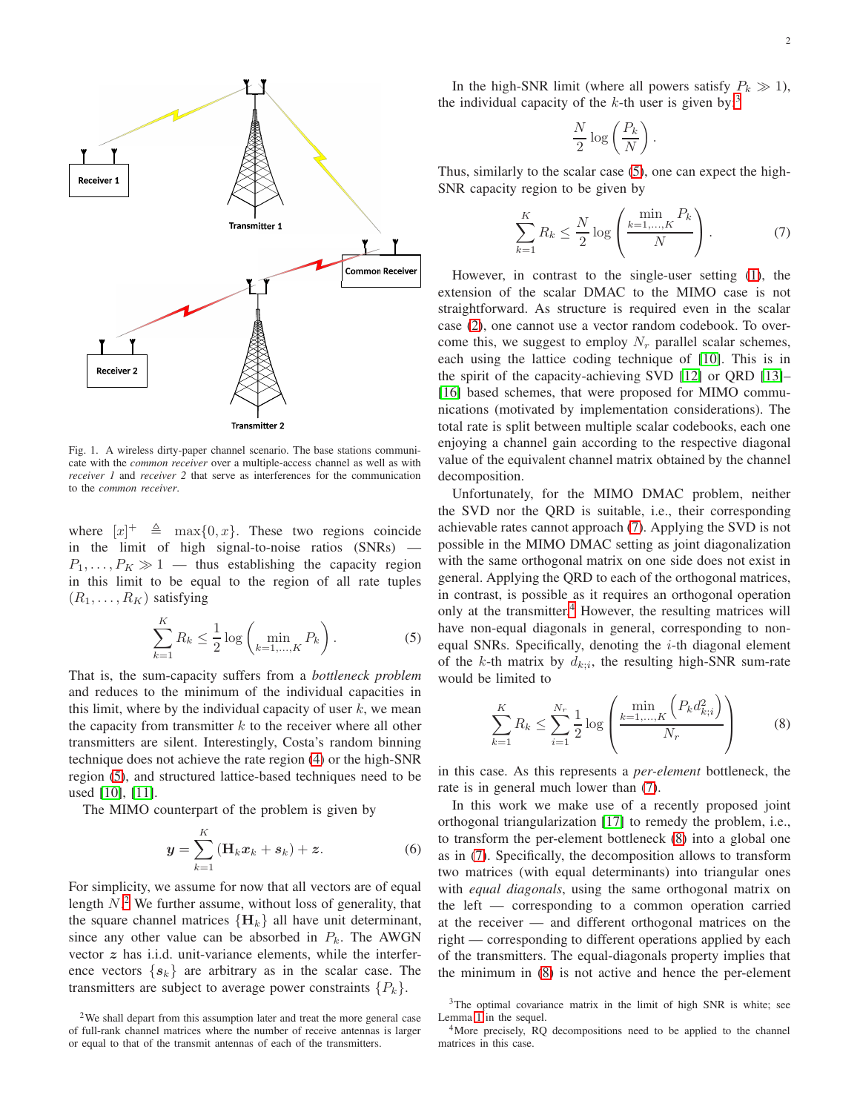

<span id="page-1-0"></span>Fig. 1. A wireless dirty-paper channel scenario. The base stations communicate with the *common receiver* over a multiple-access channel as well as with *receiver 1* and *receiver 2* that serve as interferences for the communication to the *common receiver*.

where  $[x]^+$   $\triangleq$  max $\{0, x\}$ . These two regions coincide in the limit of high signal-to-noise ratios (SNRs) —  $P_1, \ldots, P_K \gg 1$  — thus establishing the capacity region in this limit to be equal to the region of all rate tuples  $(R_1, \ldots, R_K)$  satisfying

$$
\sum_{k=1}^{K} R_k \le \frac{1}{2} \log \left( \min_{k=1,\dots,K} P_k \right).
$$
 (5)

That is, the sum-capacity suffers from a *bottleneck problem* and reduces to the minimum of the individual capacities in this limit, where by the individual capacity of user  $k$ , we mean the capacity from transmitter  $k$  to the receiver where all other transmitters are silent. Interestingly, Costa's random binning technique does not achieve the rate region [\(4\)](#page-0-1) or the high-SNR region [\(5\)](#page-1-1), and structured lattice-based techniques need to be used [\[10\]](#page-8-6), [\[11\]](#page-8-7).

The MIMO counterpart of the problem is given by

$$
y = \sum_{k=1}^{K} (\mathbf{H}_k x_k + s_k) + z.
$$
 (6)

For simplicity, we assume for now that all vectors are of equal length  $N<sup>2</sup>$  $N<sup>2</sup>$  $N<sup>2</sup>$ . We further assume, without loss of generality, that the square channel matrices  ${H<sub>k</sub>}$  all have unit determinant, since any other value can be absorbed in  $P_k$ . The AWGN vector  $z$  has i.i.d. unit-variance elements, while the interference vectors  $\{s_k\}$  are arbitrary as in the scalar case. The transmitters are subject to average power constraints  $\{P_k\}.$ 

In the high-SNR limit (where all powers satisfy  $P_k \gg 1$ ), the individual capacity of the k-th user is given by:<sup>[3](#page-1-3)</sup>

<span id="page-1-4"></span>
$$
\frac{N}{2}\log\left(\frac{P_k}{N}\right).
$$

Thus, similarly to the scalar case [\(5\)](#page-1-1), one can expect the high-SNR capacity region to be given by

$$
\sum_{k=1}^{K} R_k \le \frac{N}{2} \log \left( \frac{\min_{k=1,\dots,K} P_k}{N} \right). \tag{7}
$$

However, in contrast to the single-user setting [\(1\)](#page-0-2), the extension of the scalar DMAC to the MIMO case is not straightforward. As structure is required even in the scalar case [\(2\)](#page-0-3), one cannot use a vector random codebook. To overcome this, we suggest to employ  $N_r$  parallel scalar schemes, each using the lattice coding technique of [\[10\]](#page-8-6). This is in the spirit of the capacity-achieving SVD [\[12\]](#page-8-8) or QRD [\[13\]](#page-8-9)– [\[16\]](#page-9-0) based schemes, that were proposed for MIMO communications (motivated by implementation considerations). The total rate is split between multiple scalar codebooks, each one enjoying a channel gain according to the respective diagonal value of the equivalent channel matrix obtained by the channel decomposition.

Unfortunately, for the MIMO DMAC problem, neither the SVD nor the QRD is suitable, i.e., their corresponding achievable rates cannot approach [\(7\)](#page-1-4). Applying the SVD is not possible in the MIMO DMAC setting as joint diagonalization with the same orthogonal matrix on one side does not exist in general. Applying the QRD to each of the orthogonal matrices, in contrast, is possible as it requires an orthogonal operation only at the transmitter.<sup>[4](#page-1-5)</sup> However, the resulting matrices will have non-equal diagonals in general, corresponding to nonequal SNRs. Specifically, denoting the  $i$ -th diagonal element of the k-th matrix by  $d_{k,i}$ , the resulting high-SNR sum-rate would be limited to

<span id="page-1-6"></span><span id="page-1-1"></span>
$$
\sum_{k=1}^{K} R_k \le \sum_{i=1}^{N_r} \frac{1}{2} \log \left( \frac{\min\limits_{k=1,\dots,K} \left( P_k d_{k;i}^2 \right)}{N_r} \right) \tag{8}
$$

in this case. As this represents a *per-element* bottleneck, the rate is in general much lower than [\(7\)](#page-1-4).

<span id="page-1-7"></span>In this work we make use of a recently proposed joint orthogonal triangularization [\[17\]](#page-9-1) to remedy the problem, i.e., to transform the per-element bottleneck [\(8\)](#page-1-6) into a global one as in [\(7\)](#page-1-4). Specifically, the decomposition allows to transform two matrices (with equal determinants) into triangular ones with *equal diagonals*, using the same orthogonal matrix on the left — corresponding to a common operation carried at the receiver — and different orthogonal matrices on the right — corresponding to different operations applied by each of the transmitters. The equal-diagonals property implies that the minimum in [\(8\)](#page-1-6) is not active and hence the per-element

<span id="page-1-2"></span><sup>2</sup>We shall depart from this assumption later and treat the more general case of full-rank channel matrices where the number of receive antennas is larger or equal to that of the transmit antennas of each of the transmitters.

<span id="page-1-3"></span><sup>&</sup>lt;sup>3</sup>The optimal covariance matrix in the limit of high SNR is white; see Lemma [1](#page-3-0) in the sequel.

<span id="page-1-5"></span><sup>&</sup>lt;sup>4</sup>More precisely, RQ decompositions need to be applied to the channel matrices in this case.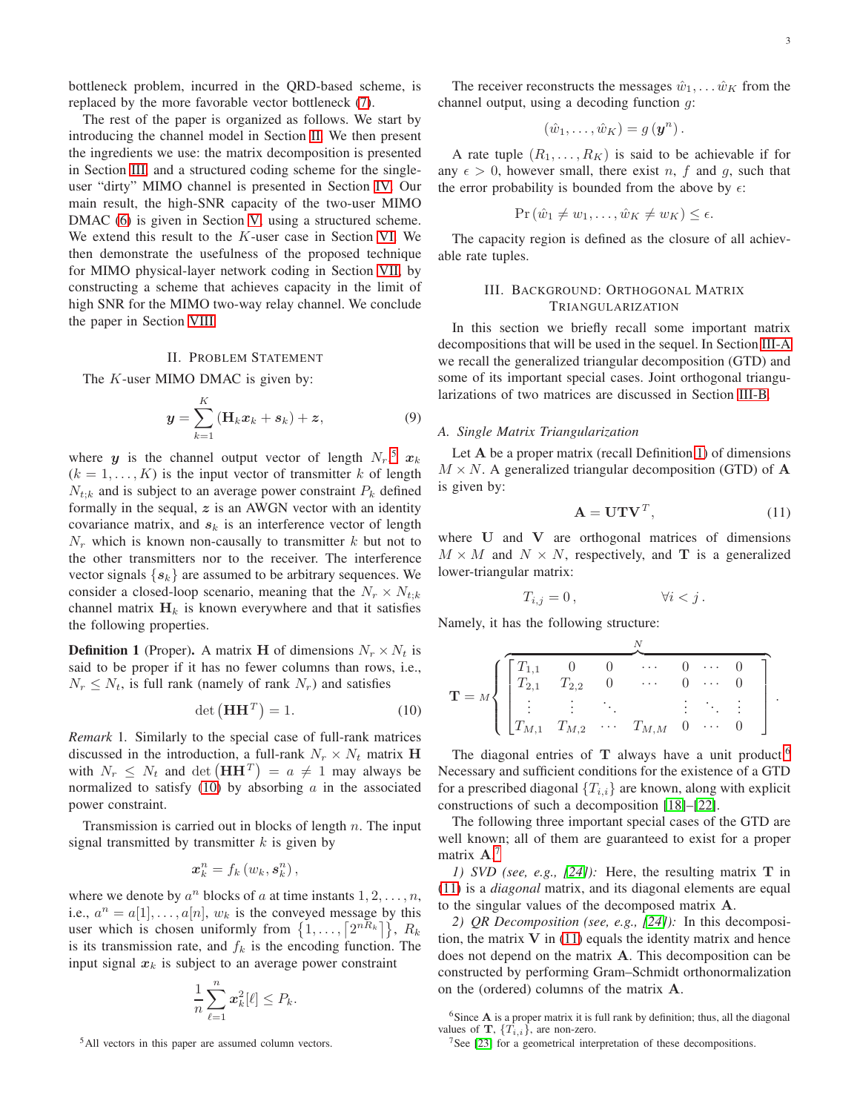bottleneck problem, incurred in the QRD-based scheme, is replaced by the more favorable vector bottleneck [\(7\)](#page-1-4).

The rest of the paper is organized as follows. We start by introducing the channel model in Section [II.](#page-2-0) We then present the ingredients we use: the matrix decomposition is presented in Section [III,](#page-2-1) and a structured coding scheme for the singleuser "dirty" MIMO channel is presented in Section [IV.](#page-3-1) Our main result, the high-SNR capacity of the two-user MIMO DMAC [\(6\)](#page-1-7) is given in Section [V,](#page-4-0) using a structured scheme. We extend this result to the K-user case in Section [VI.](#page-5-0) We then demonstrate the usefulness of the proposed technique for MIMO physical-layer network coding in Section [VII,](#page-5-1) by constructing a scheme that achieves capacity in the limit of high SNR for the MIMO two-way relay channel. We conclude the paper in Section [VIII.](#page-8-10)

# II. PROBLEM STATEMENT

<span id="page-2-0"></span>The  $K$ -user MIMO DMAC is given by:

$$
\mathbf{y} = \sum_{k=1}^{K} \left( \mathbf{H}_k \mathbf{x}_k + \mathbf{s}_k \right) + \mathbf{z},\tag{9}
$$

where y is the channel output vector of length  $N_r$ ,<sup>[5](#page-2-2)</sup>  $x_k$  $(k = 1, \ldots, K)$  is the input vector of transmitter k of length  $N_{t;k}$  and is subject to an average power constraint  $P_k$  defined formally in the sequal,  $z$  is an AWGN vector with an identity covariance matrix, and  $s_k$  is an interference vector of length  $N_r$  which is known non-causally to transmitter k but not to the other transmitters nor to the receiver. The interference vector signals  $\{s_k\}$  are assumed to be arbitrary sequences. We consider a closed-loop scenario, meaning that the  $N_r \times N_{t:k}$ channel matrix  $H_k$  is known everywhere and that it satisfies the following properties.

<span id="page-2-5"></span>**Definition 1** (Proper). A matrix **H** of dimensions  $N_r \times N_t$  is said to be proper if it has no fewer columns than rows, i.e.,  $N_r \leq N_t$ , is full rank (namely of rank  $N_r$ ) and satisfies

$$
\det\left(\mathbf{H}\mathbf{H}^T\right) = 1.\tag{10}
$$

*Remark* 1*.* Similarly to the special case of full-rank matrices discussed in the introduction, a full-rank  $N_r \times N_t$  matrix H with  $N_r \leq N_t$  and  $\det (\mathbf{H} \mathbf{H}^T) = a \neq 1$  may always be normalized to satisfy  $(10)$  by absorbing a in the associated power constraint.

Transmission is carried out in blocks of length  $n$ . The input signal transmitted by transmitter  $k$  is given by

$$
\boldsymbol{x}_{k}^{n}=f_{k}\left(\boldsymbol{w}_{k},\boldsymbol{s}_{k}^{n}\right),
$$

where we denote by  $a^n$  blocks of a at time instants  $1, 2, \ldots, n$ , i.e.,  $a^n = a[1], \ldots, a[n], w_k$  is the conveyed message by this user which is chosen uniformly from  $\{1, \ldots, \lceil 2^{nR_k} \rceil \}, R_k$ is its transmission rate, and  $f_k$  is the encoding function. The input signal  $x_k$  is subject to an average power constraint

$$
\frac{1}{n}\sum_{\ell=1}^n x_k^2[\ell] \leq P_k.
$$

<span id="page-2-2"></span><sup>5</sup>All vectors in this paper are assumed column vectors.

The receiver reconstructs the messages  $\hat{w}_1, \dots \hat{w}_K$  from the channel output, using a decoding function g:

$$
(\hat{w}_1,\ldots,\hat{w}_K)=g\left(\mathbf{y}^n\right).
$$

A rate tuple  $(R_1, \ldots, R_K)$  is said to be achievable if for any  $\epsilon > 0$ , however small, there exist n, f and g, such that the error probability is bounded from the above by  $\epsilon$ :

$$
\Pr(\hat{w}_1 \neq w_1, \dots, \hat{w}_K \neq w_K) \leq \epsilon.
$$

<span id="page-2-1"></span>The capacity region is defined as the closure of all achievable rate tuples.

# III. BACKGROUND: ORTHOGONAL MATRIX TRIANGULARIZATION

In this section we briefly recall some important matrix decompositions that will be used in the sequel. In Section [III-A](#page-2-4) we recall the generalized triangular decomposition (GTD) and some of its important special cases. Joint orthogonal triangularizations of two matrices are discussed in Section [III-B.](#page-3-2)

## <span id="page-2-9"></span><span id="page-2-4"></span>*A. Single Matrix Triangularization*

Let A be a proper matrix (recall Definition [1\)](#page-2-5) of dimensions  $M \times N$ . A generalized triangular decomposition (GTD) of A is given by:

<span id="page-2-8"></span>
$$
\mathbf{A} = \mathbf{U}\mathbf{T}\mathbf{V}^T,\tag{11}
$$

where U and V are orthogonal matrices of dimensions  $M \times M$  and  $N \times N$ , respectively, and **T** is a generalized lower-triangular matrix:

$$
T_{i,j} = 0, \qquad \qquad \forall i < j \, .
$$

Namely, it has the following structure:

$$
\mathbf{T} = M \left\{ \begin{bmatrix} T_{1,1} & 0 & 0 & \cdots & 0 & \cdots & 0 \\ T_{2,1} & T_{2,2} & 0 & \cdots & 0 & \cdots & 0 \\ \vdots & \vdots & \ddots & & \vdots & \ddots & \vdots \\ T_{M,1} & T_{M,2} & \cdots & T_{M,M} & 0 & \cdots & 0 \end{bmatrix} \right\}.
$$

<span id="page-2-3"></span>The diagonal entries of  $T$  always have a unit product.<sup>[6](#page-2-6)</sup> Necessary and sufficient conditions for the existence of a GTD for a prescribed diagonal  ${T_{i,i}}$  are known, along with explicit constructions of such a decomposition [\[18\]](#page-9-2)–[\[22\]](#page-9-3).

The following three important special cases of the GTD are well known; all of them are guaranteed to exist for a proper matrix  $\mathbf{A}$ .<sup>[7](#page-2-7)</sup>

*1) SVD (see, e.g., [\[24\]](#page-9-4)):* Here, the resulting matrix T in [\(11\)](#page-2-8) is a *diagonal* matrix, and its diagonal elements are equal to the singular values of the decomposed matrix A.

*2) QR Decomposition (see, e.g., [\[24\]](#page-9-4)):* In this decomposition, the matrix  $V$  in [\(11\)](#page-2-8) equals the identity matrix and hence does not depend on the matrix A. This decomposition can be constructed by performing Gram–Schmidt orthonormalization on the (ordered) columns of the matrix A.

<sup>6</sup>Since  $\bf{A}$  is a proper matrix it is full rank by definition; thus, all the diagonal values of **T**,  ${T_i}_i$ , are non-zero.

<span id="page-2-7"></span><span id="page-2-6"></span><sup>7</sup>See [\[23\]](#page-9-5) for a geometrical interpretation of these decompositions.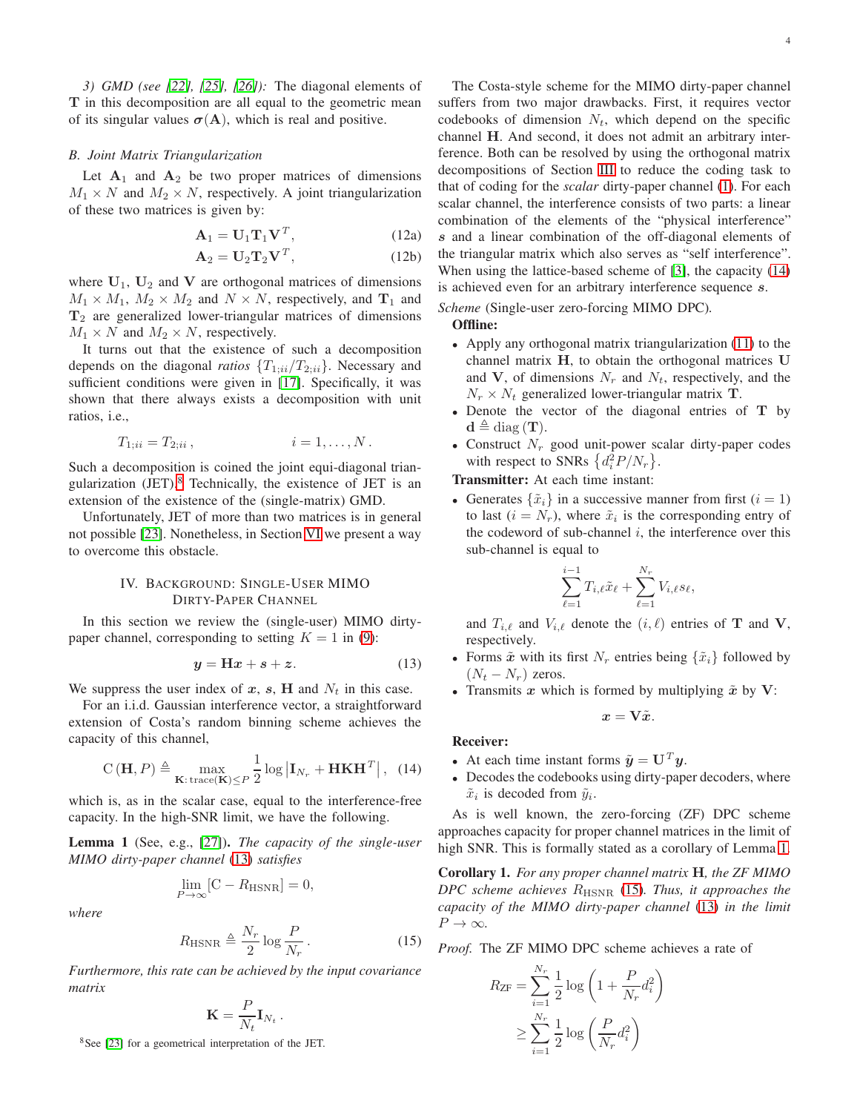*3) GMD (see [\[22\]](#page-9-3), [\[25\]](#page-9-6), [\[26\]](#page-9-7)):* The diagonal elements of T in this decomposition are all equal to the geometric mean of its singular values  $\sigma(A)$ , which is real and positive.

# <span id="page-3-2"></span>*B. Joint Matrix Triangularization*

Let  $A_1$  and  $A_2$  be two proper matrices of dimensions  $M_1 \times N$  and  $M_2 \times N$ , respectively. A joint triangularization of these two matrices is given by:

<span id="page-3-7"></span>
$$
\mathbf{A}_1 = \mathbf{U}_1 \mathbf{T}_1 \mathbf{V}^T, \tag{12a}
$$

$$
\mathbf{A}_2 = \mathbf{U}_2 \mathbf{T}_2 \mathbf{V}^T, \tag{12b}
$$

where  $U_1$ ,  $U_2$  and V are orthogonal matrices of dimensions  $M_1 \times M_1$ ,  $M_2 \times M_2$  and  $N \times N$ , respectively, and  $T_1$  and  $T_2$  are generalized lower-triangular matrices of dimensions  $M_1 \times N$  and  $M_2 \times N$ , respectively.

It turns out that the existence of such a decomposition depends on the diagonal *ratios*  $\{T_{1;ii}/T_{2;ii}\}\$ . Necessary and sufficient conditions were given in [\[17\]](#page-9-1). Specifically, it was shown that there always exists a decomposition with unit ratios, i.e.,

$$
T_{1;ii} = T_{2;ii} , \t\t i = 1, ..., N.
$$

Such a decomposition is coined the joint equi-diagonal triangularization  $(JET)$ .<sup>[8](#page-3-3)</sup> Technically, the existence of  $JET$  is an extension of the existence of the (single-matrix) GMD.

<span id="page-3-1"></span>Unfortunately, JET of more than two matrices is in general not possible [\[23\]](#page-9-5). Nonetheless, in Section [VI](#page-5-0) we present a way to overcome this obstacle.

# IV. BACKGROUND: SINGLE-USER MIMO DIRTY-PAPER CHANNEL

In this section we review the (single-user) MIMO dirtypaper channel, corresponding to setting  $K = 1$  in [\(9\)](#page-2-9):

$$
y = Hx + s + z. \tag{13}
$$

We suppress the user index of x, s, H and  $N_t$  in this case.

For an i.i.d. Gaussian interference vector, a straightforward extension of Costa's random binning scheme achieves the capacity of this channel,

$$
C(\mathbf{H}, P) \triangleq \max_{\mathbf{K}: \text{trace}(\mathbf{K}) \leq P} \frac{1}{2} \log |\mathbf{I}_{N_r} + \mathbf{HKH}^T|, \quad (14)
$$

which is, as in the scalar case, equal to the interference-free capacity. In the high-SNR limit, we have the following.

<span id="page-3-0"></span>Lemma 1 (See, e.g., [\[27\]](#page-9-8)). *The capacity of the single-user MIMO dirty-paper channel* [\(13\)](#page-3-4) *satisfies*

$$
\lim_{P \to \infty} [\mathbf{C} - R_{\text{HSNR}}] = 0,
$$

*where*

$$
R_{\text{HSNR}} \triangleq \frac{N_r}{2} \log \frac{P}{N_r} \,. \tag{15}
$$

*Furthermore, this rate can be achieved by the input covariance matrix*

$$
\mathbf{K} = \frac{P}{N_t} \mathbf{I}_{N_t} \, .
$$

<span id="page-3-3"></span><sup>8</sup>See [\[23\]](#page-9-5) for a geometrical interpretation of the JET.

4

The Costa-style scheme for the MIMO dirty-paper channel suffers from two major drawbacks. First, it requires vector codebooks of dimension  $N_t$ , which depend on the specific channel H. And second, it does not admit an arbitrary interference. Both can be resolved by using the orthogonal matrix decompositions of Section [III](#page-2-1) to reduce the coding task to that of coding for the *scalar* dirty-paper channel [\(1\)](#page-0-2). For each scalar channel, the interference consists of two parts: a linear combination of the elements of the "physical interference" s and a linear combination of the off-diagonal elements of the triangular matrix which also serves as "self interference". When using the lattice-based scheme of [\[3\]](#page-8-2), the capacity [\(14\)](#page-3-5) is achieved even for an arbitrary interference sequence s.

*Scheme* (Single-user zero-forcing MIMO DPC)*.*

## Offline:

- Apply any orthogonal matrix triangularization [\(11\)](#page-2-8) to the channel matrix H, to obtain the orthogonal matrices U and V, of dimensions  $N_r$  and  $N_t$ , respectively, and the  $N_r \times N_t$  generalized lower-triangular matrix **T**.
- Denote the vector of the diagonal entries of T by  $\mathbf{d} \triangleq \text{diag}(\mathbf{T}).$
- Construct  $N_r$  good unit-power scalar dirty-paper codes with respect to SNRs  $\left\{d_i^2 P/N_r\right\}$ .

Transmitter: At each time instant:

• Generates  $\{\tilde{x}_i\}$  in a successive manner from first  $(i = 1)$ to last  $(i = N<sub>r</sub>)$ , where  $\tilde{x}_i$  is the corresponding entry of the codeword of sub-channel  $i$ , the interference over this sub-channel is equal to

$$
\sum_{\ell=1}^{i-1} T_{i,\ell} \tilde{x}_{\ell} + \sum_{\ell=1}^{N_r} V_{i,\ell} s_{\ell},
$$

and  $T_{i,\ell}$  and  $V_{i,\ell}$  denote the  $(i,\ell)$  entries of **T** and **V**, respectively.

- <span id="page-3-4"></span>• Forms  $\tilde{x}$  with its first  $N_r$  entries being  $\{\tilde{x}_i\}$  followed by  $(N_t - N_r)$  zeros.
- Transmits x which is formed by multiplying  $\tilde{x}$  by V:

$$
x=\mathbf{V}\tilde{x}.
$$

# Receiver:

- <span id="page-3-5"></span>• At each time instant forms  $\tilde{\mathbf{y}} = \mathbf{U}^T \mathbf{y}$ .
- Decodes the codebooks using dirty-paper decoders, where  $\tilde{x}_i$  is decoded from  $\tilde{y}_i$ .

As is well known, the zero-forcing (ZF) DPC scheme approaches capacity for proper channel matrices in the limit of high SNR. This is formally stated as a corollary of Lemma [1.](#page-3-0)

Corollary 1. *For any proper channel matrix* H*, the ZF MIMO DPC scheme achieves* RHSNR [\(15\)](#page-3-6)*. Thus, it approaches the capacity of the MIMO dirty-paper channel* [\(13\)](#page-3-4) *in the limit*  $P \to \infty$ .

<span id="page-3-6"></span>*Proof.* The ZF MIMO DPC scheme achieves a rate of

$$
R_{\textrm{ZF}} = \sum_{i=1}^{N_r} \frac{1}{2} \log \left( 1 + \frac{P}{N_r} d_i^2 \right)
$$

$$
\geq \sum_{i=1}^{N_r} \frac{1}{2} \log \left( \frac{P}{N_r} d_i^2 \right)
$$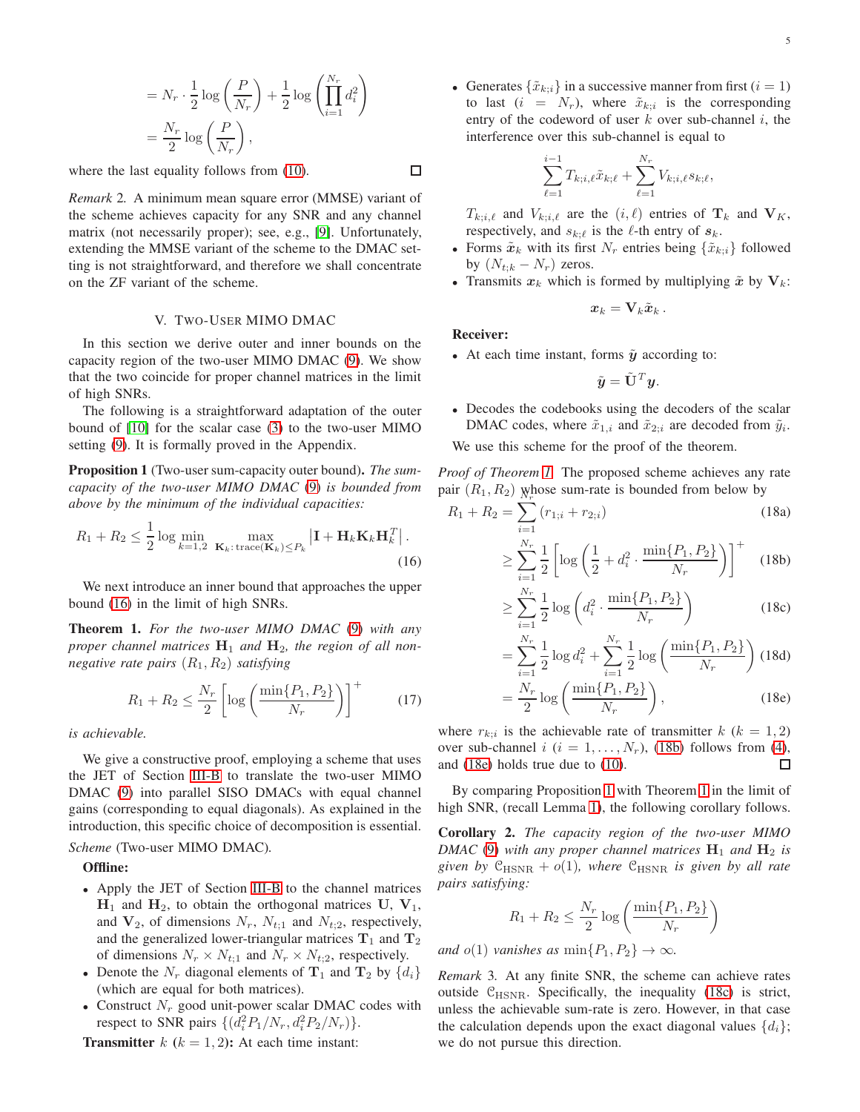$$
= N_r \cdot \frac{1}{2} \log \left( \frac{P}{N_r} \right) + \frac{1}{2} \log \left( \prod_{i=1}^{N_r} d_i^2 \right)
$$

$$
= \frac{N_r}{2} \log \left( \frac{P}{N_r} \right),
$$

where the last equality follows from  $(10)$ .

*Remark* 2*.* A minimum mean square error (MMSE) variant of the scheme achieves capacity for any SNR and any channel matrix (not necessarily proper); see, e.g., [\[9\]](#page-8-5). Unfortunately, extending the MMSE variant of the scheme to the DMAC setting is not straightforward, and therefore we shall concentrate on the ZF variant of the scheme.

## V. TWO-USER MIMO DMAC

<span id="page-4-0"></span>In this section we derive outer and inner bounds on the capacity region of the two-user MIMO DMAC [\(9\)](#page-2-9). We show that the two coincide for proper channel matrices in the limit of high SNRs.

The following is a straightforward adaptation of the outer bound of [\[10\]](#page-8-6) for the scalar case [\(3\)](#page-0-4) to the two-user MIMO setting [\(9\)](#page-2-9). It is formally proved in the Appendix.

<span id="page-4-5"></span>Proposition 1 (Two-user sum-capacity outer bound). *The sumcapacity of the two-user MIMO DMAC* [\(9\)](#page-2-9) *is bounded from above by the minimum of the individual capacities:*

$$
R_1 + R_2 \le \frac{1}{2} \log \min_{k=1,2} \max_{\mathbf{K}_k: \text{trace}(\mathbf{K}_k) \le P_k} \left| \mathbf{I} + \mathbf{H}_k \mathbf{K}_k \mathbf{H}_k^T \right|.
$$
\n(16)

We next introduce an inner bound that approaches the upper bound [\(16\)](#page-4-1) in the limit of high SNRs.

<span id="page-4-2"></span>Theorem 1. *For the two-user MIMO DMAC* [\(9\)](#page-2-9) *with any* proper channel matrices  $H_1$  and  $H_2$ , the region of all non*negative rate pairs* (R1, R2) *satisfying*

$$
R_1 + R_2 \le \frac{N_r}{2} \left[ \log \left( \frac{\min\{P_1, P_2\}}{N_r} \right) \right]^+ \tag{17}
$$

*is achievable.*

We give a constructive proof, employing a scheme that uses the JET of Section [III-B](#page-3-2) to translate the two-user MIMO DMAC [\(9\)](#page-2-9) into parallel SISO DMACs with equal channel gains (corresponding to equal diagonals). As explained in the introduction, this specific choice of decomposition is essential.

# *Scheme* (Two-user MIMO DMAC)*.*

Offline:

- Apply the JET of Section [III-B](#page-3-2) to the channel matrices  $H_1$  and  $H_2$ , to obtain the orthogonal matrices U,  $V_1$ , and  $V_2$ , of dimensions  $N_r$ ,  $N_{t,1}$  and  $N_{t,2}$ , respectively, and the generalized lower-triangular matrices  $T_1$  and  $T_2$ of dimensions  $N_r \times N_{t,1}$  and  $N_r \times N_{t,2}$ , respectively.
- Denote the  $N_r$  diagonal elements of  $\mathbf{T}_1$  and  $\mathbf{T}_2$  by  $\{d_i\}$ (which are equal for both matrices).
- Construct  $N_r$  good unit-power scalar DMAC codes with respect to SNR pairs  $\{(d_i^2 P_1/N_r, d_i^2 P_2/N_r)\}.$

**Transmitter**  $k$  ( $k = 1, 2$ ): At each time instant:

□

• Generates  $\{\tilde{x}_{k:i}\}\$  in a successive manner from first  $(i = 1)$ to last  $(i = N_r)$ , where  $\tilde{x}_{k;i}$  is the corresponding entry of the codeword of user  $k$  over sub-channel  $i$ , the interference over this sub-channel is equal to

$$
\sum_{\ell=1}^{i-1} T_{k;i,\ell} \tilde{x}_{k;\ell} + \sum_{\ell=1}^{N_r} V_{k;i,\ell} s_{k;\ell},
$$

 $T_{k;i,\ell}$  and  $V_{k;i,\ell}$  are the  $(i,\ell)$  entries of  $\mathbf{T}_k$  and  $\mathbf{V}_K$ , respectively, and  $s_{k;\ell}$  is the  $\ell$ -th entry of  $s_k$ .

- Forms  $\tilde{\boldsymbol{x}}_k$  with its first  $N_r$  entries being  $\{\tilde{x}_{k:i}\}\$  followed by  $(N_{t:k} - N_r)$  zeros.
- Transmits  $x_k$  which is formed by multiplying  $\tilde{x}$  by  $V_k$ :

$$
\boldsymbol{x}_k = \mathbf{V}_k \tilde{\boldsymbol{x}}_k\,.
$$

# Receiver:

• At each time instant, forms  $\tilde{y}$  according to:

<span id="page-4-3"></span>
$$
\tilde{\mathbf{y}} = \tilde{\mathbf{U}}^T \mathbf{y}.
$$

• Decodes the codebooks using the decoders of the scalar DMAC codes, where  $\tilde{x}_{1,i}$  and  $\tilde{x}_{2;i}$  are decoded from  $\tilde{y}_i$ .

We use this scheme for the proof of the theorem.

*Proof of Theorem [1.](#page-4-2)* The proposed scheme achieves any rate pair  $(R_1, R_2)$  whose sum-rate is bounded from below by

<span id="page-4-1"></span>
$$
R_1 + R_2 = \sum_{i=1}^{N_r} (r_{1,i} + r_{2,i})
$$
\n
$$
\sum_{i=1}^{N_r} 1 \left[ \frac{1}{\log(1 + x^2)} \min\{P_1, P_2\} \right]^{+}
$$
\n(18a)

$$
\geq \sum_{i=1}^{N_r} \frac{1}{2} \left[ \log \left( \frac{1}{2} + d_i^2 \cdot \frac{\min\{P_1, P_2\}}{N_r} \right) \right]^+ \quad (18b)
$$

<span id="page-4-6"></span>
$$
\geq \sum_{i=1}^{N_r} \frac{1}{2} \log \left( d_i^2 \cdot \frac{\min\{P_1, P_2\}}{N_r} \right) \tag{18c}
$$

<span id="page-4-4"></span>
$$
= \sum_{i=1}^{N_r} \frac{1}{2} \log d_i^2 + \sum_{i=1}^{N_r} \frac{1}{2} \log \left( \frac{\min\{P_1, P_2\}}{N_r} \right) (18d)
$$

$$
= \frac{N_r}{2} \log \left( \frac{\min\{P_1, P_2\}}{N_r} \right), \qquad (18e)
$$

<span id="page-4-8"></span>where  $r_{k,i}$  is the achievable rate of transmitter  $k$  ( $k = 1, 2$ ) over sub-channel i  $(i = 1, \ldots, N_r)$ , [\(18b\)](#page-4-3) follows from [\(4\)](#page-0-1), and [\(18e\)](#page-4-4) holds true due to [\(10\)](#page-2-3). □

By comparing Proposition [1](#page-4-5) with Theorem [1](#page-4-2) in the limit of high SNR, (recall Lemma [1\)](#page-3-0), the following corollary follows.

<span id="page-4-7"></span>Corollary 2. *The capacity region of the two-user MIMO DMAC* [\(9\)](#page-2-9) with any proper channel matrices  $H_1$  and  $H_2$  *is given by*  $C_{\text{HSNR}} + o(1)$ *, where*  $C_{\text{HSNR}}$  *is given by all rate pairs satisfying:*

$$
R_1 + R_2 \le \frac{N_r}{2} \log \left( \frac{\min\{P_1, P_2\}}{N_r} \right)
$$

*and*  $o(1)$  *vanishes as*  $\min\{P_1, P_2\} \to \infty$ *.* 

<span id="page-4-9"></span>*Remark* 3*.* At any finite SNR, the scheme can achieve rates outside  $C_{\text{HSNR}}$ . Specifically, the inequality [\(18c\)](#page-4-6) is strict, unless the achievable sum-rate is zero. However, in that case the calculation depends upon the exact diagonal values  $\{d_i\}$ ; we do not pursue this direction.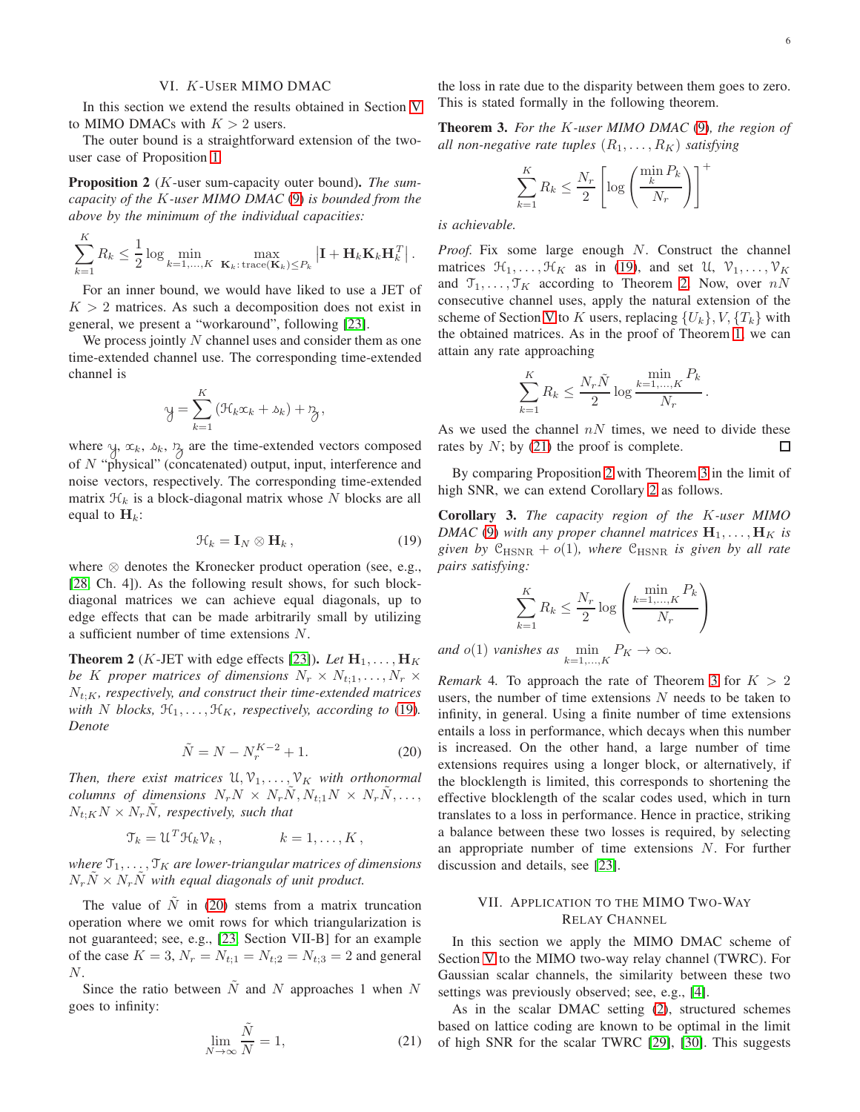# VI. K-USER MIMO DMAC

<span id="page-5-0"></span>In this section we extend the results obtained in Section [V](#page-4-0) to MIMO DMACs with  $K > 2$  users.

The outer bound is a straightforward extension of the twouser case of Proposition [1.](#page-4-5)

<span id="page-5-6"></span>Proposition 2 (K-user sum-capacity outer bound). *The sumcapacity of the* K*-user MIMO DMAC* [\(9\)](#page-2-9) *is bounded from the above by the minimum of the individual capacities:*

$$
\sum_{k=1}^{K} R_k \le \frac{1}{2} \log \min_{k=1,\dots,K} \ \max_{\mathbf{K}_k: \text{trace}(\mathbf{K}_k) \le P_k} \left| \mathbf{I} + \mathbf{H}_k \mathbf{K}_k \mathbf{H}_k^T \right|.
$$

For an inner bound, we would have liked to use a JET of  $K > 2$  matrices. As such a decomposition does not exist in general, we present a "workaround", following [\[23\]](#page-9-5).

We process jointly  $N$  channel uses and consider them as one time-extended channel use. The corresponding time-extended channel is

$$
y = \sum_{k=1}^{K} (\mathcal{H}_k x_k + \delta_k) + \mathcal{H},
$$

where  $y, x_k, \lambda_k, \lambda_j$  are the time-extended vectors composed of  $N$  "physical" (concatenated) output, input, interference and noise vectors, respectively. The corresponding time-extended matrix  $\mathcal{H}_k$  is a block-diagonal matrix whose N blocks are all equal to  $H_k$ :

$$
\mathcal{H}_k = \mathbf{I}_N \otimes \mathbf{H}_k, \qquad (19)
$$

where ⊗ denotes the Kronecker product operation (see, e.g., [\[28,](#page-9-9) Ch. 4]). As the following result shows, for such blockdiagonal matrices we can achieve equal diagonals, up to edge effects that can be made arbitrarily small by utilizing a sufficient number of time extensions N.

<span id="page-5-4"></span>**Theorem 2** (*K*-JET with edge effects [\[23\]](#page-9-5)). *Let*  $H_1, \ldots, H_K$ *be* K *proper matrices of dimensions*  $N_r \times N_{t,1}, \ldots, N_r \times$  $N_{t:K}$ , respectively, and construct their time-extended matrices *with N blocks*,  $\mathcal{H}_1, \ldots, \mathcal{H}_K$ *, respectively, according to* [\(19\)](#page-5-2)*. Denote*

$$
\tilde{N} = N - N_r^{K-2} + 1.
$$
\n(20)

*Then, there exist matrices*  $\mathfrak{U}, \mathfrak{V}_1, \ldots, \mathfrak{V}_K$  *with orthonormal columns of dimensions*  $N_r N \times N_r \tilde{N}$ ,  $N_{t,1} N \times N_r \tilde{N}$ , ...,  $N_{t:K}N \times N_{r}\tilde{N}$ , respectively, such that

$$
\mathcal{T}_k = \mathcal{U}^T \mathcal{H}_k \mathcal{V}_k, \qquad k = 1, \dots, K,
$$

*where*  $\mathcal{T}_1, \ldots, \mathcal{T}_K$  *are lower-triangular matrices of dimensions*  $N_r\tilde{N} \times N_r\tilde{N}$  with equal diagonals of unit product.

The value of  $\tilde{N}$  in [\(20\)](#page-5-3) stems from a matrix truncation operation where we omit rows for which triangularization is not guaranteed; see, e.g., [\[23,](#page-9-5) Section VII-B] for an example of the case  $K = 3$ ,  $N_r = N_{t;1} = N_{t;2} = N_{t;3} = 2$  and general N.

Since the ratio between  $\tilde{N}$  and N approaches 1 when N goes to infinity:

$$
\lim_{N \to \infty} \frac{\tilde{N}}{N} = 1,\tag{21}
$$

the loss in rate due to the disparity between them goes to zero. This is stated formally in the following theorem.

<span id="page-5-7"></span>Theorem 3. *For the* K*-user MIMO DMAC* [\(9\)](#page-2-9)*, the region of all non-negative rate tuples*  $(R_1, \ldots, R_K)$  *satisfying* 

$$
\sum_{k=1}^{K} R_k \le \frac{N_r}{2} \left[ \log \left( \frac{\min_{k} P_k}{N_r} \right) \right]^+
$$

*is achievable.*

*Proof.* Fix some large enough N. Construct the channel matrices  $\mathcal{H}_1, \ldots, \mathcal{H}_K$  as in [\(19\)](#page-5-2), and set  $\mathcal{U}, \mathcal{V}_1, \ldots, \mathcal{V}_K$ and  $\mathfrak{T}_1, \ldots, \mathfrak{T}_K$  according to Theorem [2.](#page-5-4) Now, over  $nN$ consecutive channel uses, apply the natural extension of the scheme of Section [V](#page-4-0) to K users, replacing  $\{U_k\}, V, \{T_k\}$  with the obtained matrices. As in the proof of Theorem [1,](#page-4-2) we can attain any rate approaching

$$
\sum_{k=1}^K R_k \le \frac{N_r \tilde{N}}{2} \log \frac{\min\limits_{k=1,\dots,K} P_k}{N_r}.
$$

As we used the channel  $nN$  times, we need to divide these rates by  $N$ ; by [\(21\)](#page-5-5) the proof is complete. □

By comparing Proposition [2](#page-5-6) with Theorem [3](#page-5-7) in the limit of high SNR, we can extend Corollary [2](#page-4-7) as follows.

<span id="page-5-2"></span>Corollary 3. *The capacity region of the* K*-user MIMO DMAC* [\(9\)](#page-2-9) with any proper channel matrices  $H_1, \ldots, H_K$  is *given by*  $C_{\text{HSNR}} + o(1)$ *, where*  $C_{\text{HSNR}}$  *is given by all rate pairs satisfying:*

$$
\sum_{k=1}^{K} R_k \le \frac{N_r}{2} \log \left( \frac{\min_{k=1,...,K} P_k}{N_r} \right)
$$

*and*  $o(1)$  *vanishes as*  $\min_{k=1,\dots,K} P_K \to \infty$ *.* 

<span id="page-5-3"></span>*Remark* 4. To approach the rate of Theorem [3](#page-5-7) for  $K > 2$ users, the number of time extensions  $N$  needs to be taken to infinity, in general. Using a finite number of time extensions entails a loss in performance, which decays when this number is increased. On the other hand, a large number of time extensions requires using a longer block, or alternatively, if the blocklength is limited, this corresponds to shortening the effective blocklength of the scalar codes used, which in turn translates to a loss in performance. Hence in practice, striking a balance between these two losses is required, by selecting an appropriate number of time extensions N. For further discussion and details, see [\[23\]](#page-9-5).

# <span id="page-5-1"></span>VII. APPLICATION TO THE MIMO TWO-WAY RELAY CHANNEL

In this section we apply the MIMO DMAC scheme of Section [V](#page-4-0) to the MIMO two-way relay channel (TWRC). For Gaussian scalar channels, the similarity between these two settings was previously observed; see, e.g., [\[4\]](#page-8-3).

<span id="page-5-5"></span>As in the scalar DMAC setting [\(2\)](#page-0-3), structured schemes based on lattice coding are known to be optimal in the limit of high SNR for the scalar TWRC [\[29\]](#page-9-10), [\[30\]](#page-9-11). This suggests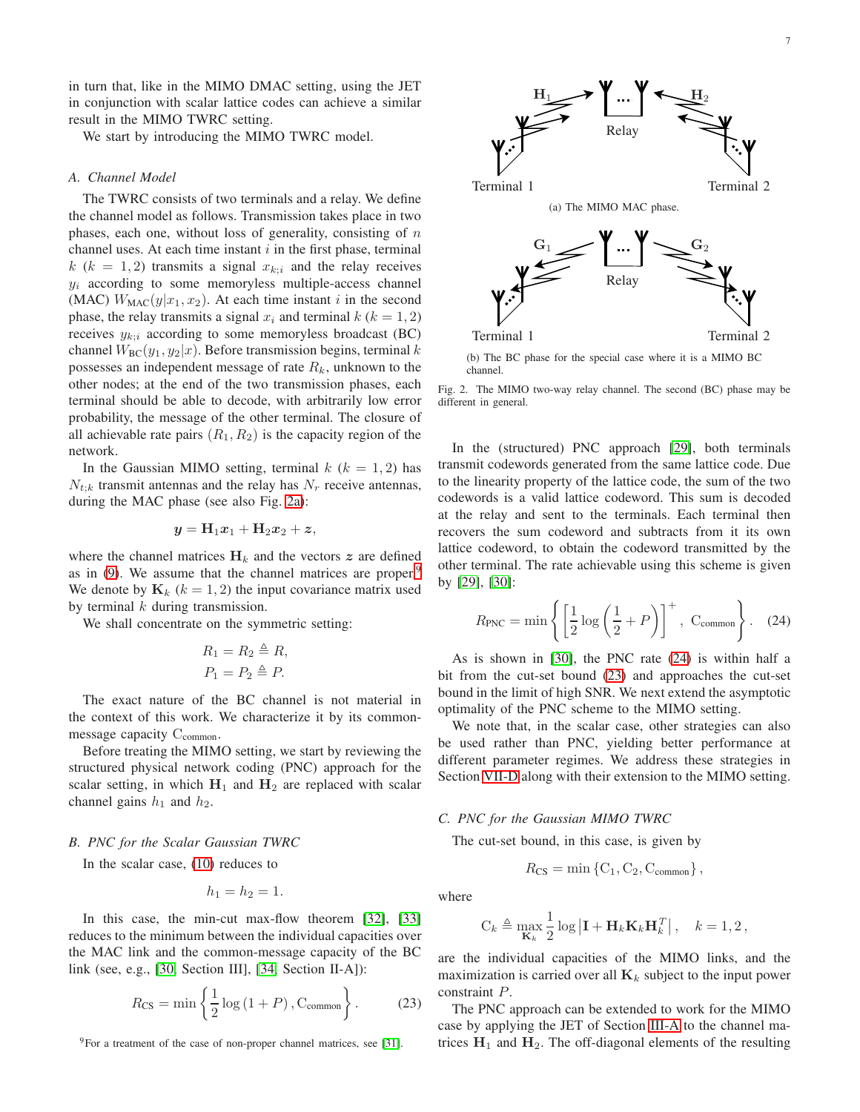in turn that, like in the MIMO DMAC setting, using the JET in conjunction with scalar lattice codes can achieve a similar result in the MIMO TWRC setting.

We start by introducing the MIMO TWRC model.

# *A. Channel Model*

The TWRC consists of two terminals and a relay. We define the channel model as follows. Transmission takes place in two phases, each one, without loss of generality, consisting of  $n$ channel uses. At each time instant  $i$  in the first phase, terminal  $k$  ( $k = 1, 2$ ) transmits a signal  $x_{k;i}$  and the relay receives  $y_i$  according to some memoryless multiple-access channel (MAC)  $W_{\text{MAC}}(y|x_1, x_2)$ . At each time instant i in the second phase, the relay transmits a signal  $x_i$  and terminal  $k$  ( $k = 1, 2$ ) receives  $y_{k:i}$  according to some memoryless broadcast (BC) channel  $W_{BC}(y_1, y_2|x)$ . Before transmission begins, terminal k possesses an independent message of rate  $R_k$ , unknown to the other nodes; at the end of the two transmission phases, each terminal should be able to decode, with arbitrarily low error probability, the message of the other terminal. The closure of all achievable rate pairs  $(R_1, R_2)$  is the capacity region of the network.

In the Gaussian MIMO setting, terminal  $k$  ( $k = 1, 2$ ) has  $N_{t;k}$  transmit antennas and the relay has  $N_r$  receive antennas, during the MAC phase (see also Fig. [2a\)](#page-6-0):

$$
\mathbf{y} = \mathbf{H}_1 \mathbf{x}_1 + \mathbf{H}_2 \mathbf{x}_2 + \mathbf{z},
$$

where the channel matrices  $H_k$  and the vectors z are defined as in  $(9)$  $(9)$  $(9)$ . We assume that the channel matrices are proper.<sup>9</sup> We denote by  $\mathbf{K}_k$  ( $k = 1, 2$ ) the input covariance matrix used by terminal  $k$  during transmission.

We shall concentrate on the symmetric setting:

$$
R_1 = R_2 \triangleq R,
$$
  

$$
P_1 = P_2 \triangleq P.
$$

The exact nature of the BC channel is not material in the context of this work. We characterize it by its commonmessage capacity C<sub>common</sub>.

Before treating the MIMO setting, we start by reviewing the structured physical network coding (PNC) approach for the scalar setting, in which  $H_1$  and  $H_2$  are replaced with scalar channel gains  $h_1$  and  $h_2$ .

## *B. PNC for the Scalar Gaussian TWRC*

In the scalar case, [\(10\)](#page-2-3) reduces to

$$
h_1 = h_2 = 1.
$$

In this case, the min-cut max-flow theorem [\[32\]](#page-9-12), [\[33\]](#page-9-13) reduces to the minimum between the individual capacities over the MAC link and the common-message capacity of the BC link (see, e.g., [\[30,](#page-9-11) Section III], [\[34,](#page-9-14) Section II-A]):

$$
R_{\text{CS}} = \min\left\{\frac{1}{2}\log\left(1+P\right), \text{C}_{\text{common}}\right\}.
$$
 (23)

<span id="page-6-1"></span> $9$ For a treatment of the case of non-proper channel matrices, see [\[31\]](#page-9-15).

<span id="page-6-0"></span>

Relay

<span id="page-6-4"></span>Terminal 1 Terminal 2

 $G_1 \longrightarrow \blacksquare$   $\blacksquare$   $G_2$ 

(a) The MIMO MAC phase.

Relay

(b) The BC phase for the special case where it is a MIMO BC channel.

Terminal 1 Terminal 2

Fig. 2. The MIMO two-way relay channel. The second (BC) phase may be different in general.

In the (structured) PNC approach [\[29\]](#page-9-10), both terminals transmit codewords generated from the same lattice code. Due to the linearity property of the lattice code, the sum of the two codewords is a valid lattice codeword. This sum is decoded at the relay and sent to the terminals. Each terminal then recovers the sum codeword and subtracts from it its own lattice codeword, to obtain the codeword transmitted by the other terminal. The rate achievable using this scheme is given by [\[29\]](#page-9-10), [\[30\]](#page-9-11):

<span id="page-6-2"></span>
$$
R_{\text{PNC}} = \min\left\{ \left[ \frac{1}{2} \log \left( \frac{1}{2} + P \right) \right]^{+}, \ \mathcal{C}_{\text{common}} \right\}. \tag{24}
$$

<span id="page-6-5"></span>As is shown in [\[30\]](#page-9-11), the PNC rate [\(24\)](#page-6-2) is within half a bit from the cut-set bound [\(23\)](#page-6-3) and approaches the cut-set bound in the limit of high SNR. We next extend the asymptotic optimality of the PNC scheme to the MIMO setting.

We note that, in the scalar case, other strategies can also be used rather than PNC, yielding better performance at different parameter regimes. We address these strategies in Section [VII-D](#page-7-0) along with their extension to the MIMO setting.

# *C. PNC for the Gaussian MIMO TWRC*

The cut-set bound, in this case, is given by

$$
R_{\text{CS}} = \min \left\{ \text{C}_1, \text{C}_2, \text{C}_{\text{common}} \right\},\
$$

where

$$
C_k \triangleq \max_{\mathbf{K}_k} \frac{1}{2} \log \left| \mathbf{I} + \mathbf{H}_k \mathbf{K}_k \mathbf{H}_k^T \right|, \quad k = 1, 2
$$

are the individual capacities of the MIMO links, and the maximization is carried over all  $\mathbf{K}_k$  subject to the input power constraint P.

<span id="page-6-3"></span>The PNC approach can be extended to work for the MIMO case by applying the JET of Section [III-A](#page-2-4) to the channel matrices  $H_1$  and  $H_2$ . The off-diagonal elements of the resulting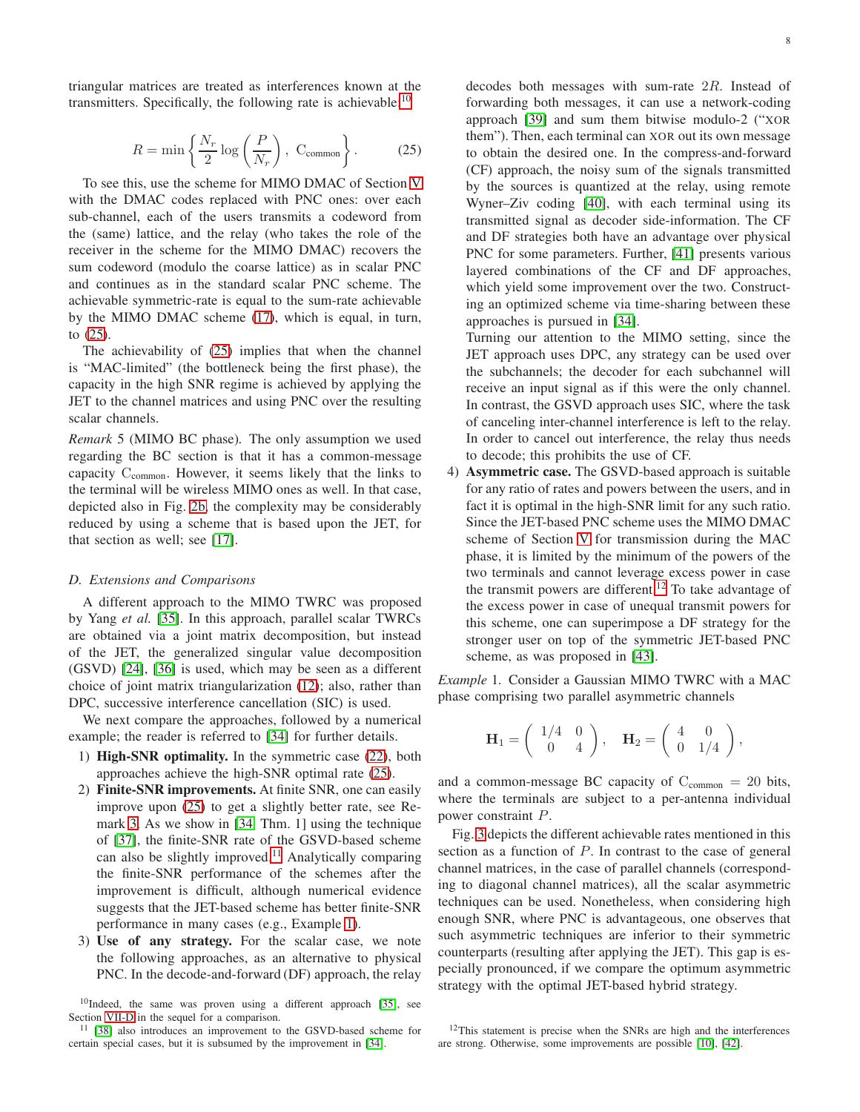triangular matrices are treated as interferences known at the transmitters. Specifically, the following rate is achievable: $10$ 

$$
R = \min\left\{\frac{N_r}{2}\log\left(\frac{P}{N_r}\right), \ \mathcal{C}_{\text{common}}\right\}.
$$
 (25)

To see this, use the scheme for MIMO DMAC of Section [V](#page-4-0) with the DMAC codes replaced with PNC ones: over each sub-channel, each of the users transmits a codeword from the (same) lattice, and the relay (who takes the role of the receiver in the scheme for the MIMO DMAC) recovers the sum codeword (modulo the coarse lattice) as in scalar PNC and continues as in the standard scalar PNC scheme. The achievable symmetric-rate is equal to the sum-rate achievable by the MIMO DMAC scheme [\(17\)](#page-4-8), which is equal, in turn, to [\(25\)](#page-7-2).

The achievability of [\(25\)](#page-7-2) implies that when the channel is "MAC-limited" (the bottleneck being the first phase), the capacity in the high SNR regime is achieved by applying the JET to the channel matrices and using PNC over the resulting scalar channels.

*Remark* 5 (MIMO BC phase)*.* The only assumption we used regarding the BC section is that it has a common-message capacity  $C_{\text{common}}$ . However, it seems likely that the links to the terminal will be wireless MIMO ones as well. In that case, depicted also in Fig. [2b,](#page-6-4) the complexity may be considerably reduced by using a scheme that is based upon the JET, for that section as well; see [\[17\]](#page-9-1).

#### <span id="page-7-0"></span>*D. Extensions and Comparisons*

A different approach to the MIMO TWRC was proposed by Yang *et al.* [\[35\]](#page-9-16). In this approach, parallel scalar TWRCs are obtained via a joint matrix decomposition, but instead of the JET, the generalized singular value decomposition (GSVD) [\[24\]](#page-9-4), [\[36\]](#page-9-17) is used, which may be seen as a different choice of joint matrix triangularization [\(12\)](#page-3-7); also, rather than DPC, successive interference cancellation (SIC) is used.

We next compare the approaches, followed by a numerical example; the reader is referred to [\[34\]](#page-9-14) for further details.

- 1) High-SNR optimality. In the symmetric case [\(22\)](#page-6-5), both approaches achieve the high-SNR optimal rate [\(25\)](#page-7-2).
- 2) Finite-SNR improvements. At finite SNR, one can easily improve upon [\(25\)](#page-7-2) to get a slightly better rate, see Remark [3.](#page-4-9) As we show in [\[34,](#page-9-14) Thm. 1] using the technique of [\[37\]](#page-9-18), the finite-SNR rate of the GSVD-based scheme can also be slightly improved.<sup>[11](#page-7-3)</sup> Analytically comparing the finite-SNR performance of the schemes after the improvement is difficult, although numerical evidence suggests that the JET-based scheme has better finite-SNR performance in many cases (e.g., Example [1\)](#page-7-4).
- 3) Use of any strategy. For the scalar case, we note the following approaches, as an alternative to physical PNC. In the decode-and-forward (DF) approach, the relay

<span id="page-7-1"></span> $10$ Indeed, the same was proven using a different approach [\[35\]](#page-9-16), see Section [VII-D](#page-7-0) in the sequel for a comparison.

<span id="page-7-3"></span><sup>11</sup> [\[38\]](#page-9-19) also introduces an improvement to the GSVD-based scheme for certain special cases, but it is subsumed by the improvement in [\[34\]](#page-9-14).

<span id="page-7-2"></span>decodes both messages with sum-rate  $2R$ . Instead of forwarding both messages, it can use a network-coding approach [\[39\]](#page-9-20) and sum them bitwise modulo-2 ("XOR them"). Then, each terminal can XOR out its own message to obtain the desired one. In the compress-and-forward (CF) approach, the noisy sum of the signals transmitted by the sources is quantized at the relay, using remote Wyner–Ziv coding [\[40\]](#page-9-21), with each terminal using its transmitted signal as decoder side-information. The CF and DF strategies both have an advantage over physical PNC for some parameters. Further, [\[41\]](#page-9-22) presents various layered combinations of the CF and DF approaches, which yield some improvement over the two. Constructing an optimized scheme via time-sharing between these approaches is pursued in [\[34\]](#page-9-14).

Turning our attention to the MIMO setting, since the JET approach uses DPC, any strategy can be used over the subchannels; the decoder for each subchannel will receive an input signal as if this were the only channel. In contrast, the GSVD approach uses SIC, where the task of canceling inter-channel interference is left to the relay. In order to cancel out interference, the relay thus needs to decode; this prohibits the use of CF.

4) Asymmetric case. The GSVD-based approach is suitable for any ratio of rates and powers between the users, and in fact it is optimal in the high-SNR limit for any such ratio. Since the JET-based PNC scheme uses the MIMO DMAC scheme of Section [V](#page-4-0) for transmission during the MAC phase, it is limited by the minimum of the powers of the two terminals and cannot leverage excess power in case the transmit powers are different.[12](#page-7-5) To take advantage of the excess power in case of unequal transmit powers for this scheme, one can superimpose a DF strategy for the stronger user on top of the symmetric JET-based PNC scheme, as was proposed in [\[43\]](#page-9-23).

<span id="page-7-4"></span>*Example* 1*.* Consider a Gaussian MIMO TWRC with a MAC phase comprising two parallel asymmetric channels

$$
\mathbf{H}_1 = \left( \begin{array}{cc} 1/4 & 0 \\ 0 & 4 \end{array} \right), \quad \mathbf{H}_2 = \left( \begin{array}{cc} 4 & 0 \\ 0 & 1/4 \end{array} \right),
$$

and a common-message BC capacity of  $C_{\text{common}} = 20$  bits, where the terminals are subject to a per-antenna individual power constraint P.

Fig. [3](#page-8-11) depicts the different achievable rates mentioned in this section as a function of  $P$ . In contrast to the case of general channel matrices, in the case of parallel channels (corresponding to diagonal channel matrices), all the scalar asymmetric techniques can be used. Nonetheless, when considering high enough SNR, where PNC is advantageous, one observes that such asymmetric techniques are inferior to their symmetric counterparts (resulting after applying the JET). This gap is especially pronounced, if we compare the optimum asymmetric strategy with the optimal JET-based hybrid strategy.

<span id="page-7-5"></span><sup>&</sup>lt;sup>12</sup>This statement is precise when the SNRs are high and the interferences are strong. Otherwise, some improvements are possible [\[10\]](#page-8-6), [\[42\]](#page-9-24).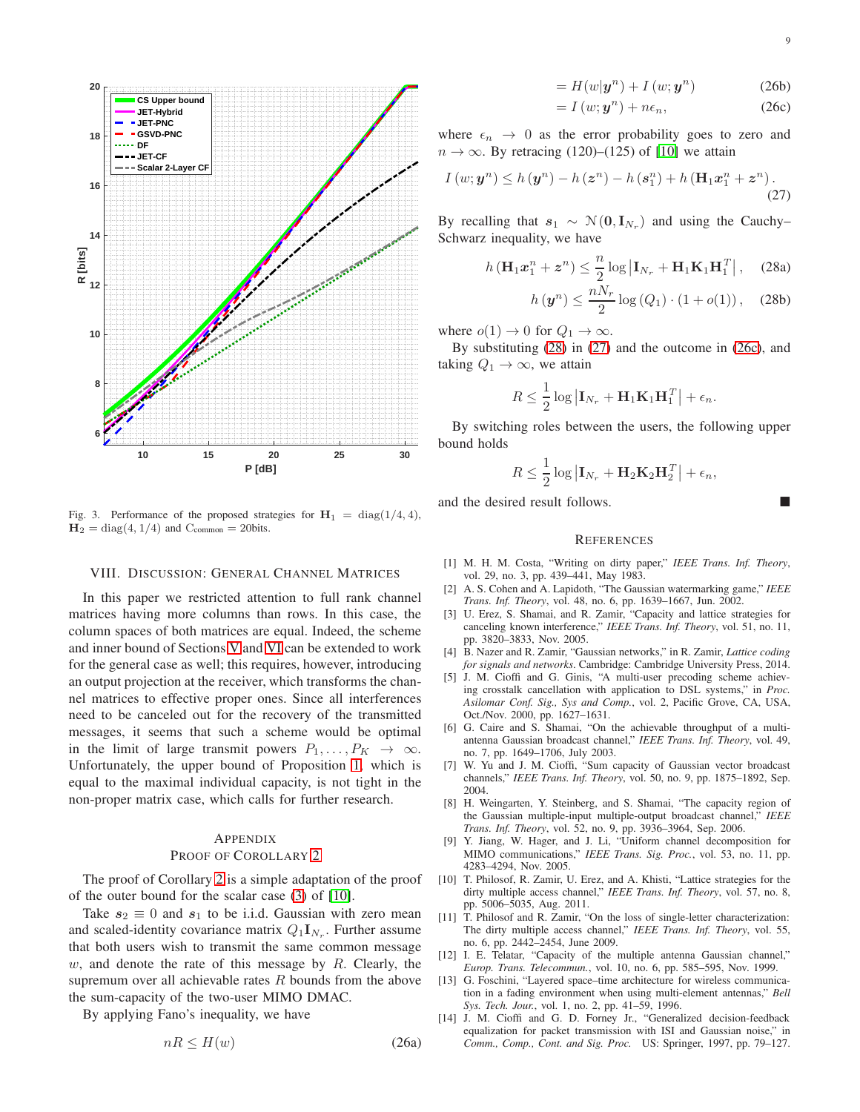

<span id="page-8-11"></span>Fig. 3. Performance of the proposed strategies for  $H_1 = diag(1/4, 4)$ ,  $H_2 = diag(4, 1/4)$  and  $C_{\text{common}} = 20$ bits.

#### <span id="page-8-10"></span>VIII. DISCUSSION: GENERAL CHANNEL MATRICES

In this paper we restricted attention to full rank channel matrices having more columns than rows. In this case, the column spaces of both matrices are equal. Indeed, the scheme and inner bound of Sections [V](#page-4-0) and [VI](#page-5-0) can be extended to work for the general case as well; this requires, however, introducing an output projection at the receiver, which transforms the channel matrices to effective proper ones. Since all interferences need to be canceled out for the recovery of the transmitted messages, it seems that such a scheme would be optimal in the limit of large transmit powers  $P_1, \ldots, P_K \rightarrow \infty$ . Unfortunately, the upper bound of Proposition [1,](#page-4-5) which is equal to the maximal individual capacity, is not tight in the non-proper matrix case, which calls for further research.

## APPENDIX

#### PROOF OF COROLLARY [2](#page-4-7)

The proof of Corollary [2](#page-4-7) is a simple adaptation of the proof of the outer bound for the scalar case [\(3\)](#page-0-4) of [\[10\]](#page-8-6).

Take  $s_2 \equiv 0$  and  $s_1$  to be i.i.d. Gaussian with zero mean and scaled-identity covariance matrix  $Q_1 \mathbf{I}_{N_r}$ . Further assume that both users wish to transmit the same common message w, and denote the rate of this message by  $R$ . Clearly, the supremum over all achievable rates  $R$  bounds from the above the sum-capacity of the two-user MIMO DMAC.

By applying Fano's inequality, we have

$$
nR \le H(w) \tag{26a}
$$

$$
=H(w|\mathbf{y}^n)+I(w;\mathbf{y}^n) \tag{26b}
$$

<span id="page-8-14"></span><span id="page-8-13"></span>
$$
= I(w; y^n) + n\epsilon_n, \qquad (26c)
$$

where  $\epsilon_n \rightarrow 0$  as the error probability goes to zero and  $n \to \infty$ . By retracing (120)–(125) of [\[10\]](#page-8-6) we attain

$$
I(w; y^{n}) \le h(y^{n}) - h(z^{n}) - h(s_{1}^{n}) + h(\mathbf{H}_{1}x_{1}^{n} + z^{n}).
$$
\n(27)

By recalling that  $s_1 \sim \mathcal{N}(0, \mathbf{I}_{N_r})$  and using the Cauchy– Schwarz inequality, we have

$$
h\left(\mathbf{H}_1 \mathbf{x}_1^n + \mathbf{z}^n\right) \le \frac{n}{2} \log \left|\mathbf{I}_{N_r} + \mathbf{H}_1 \mathbf{K}_1 \mathbf{H}_1^T\right|, \quad (28a)
$$

<span id="page-8-12"></span>
$$
h\left(\mathbf{y}^{n}\right) \leq \frac{nN}{2} \log\left(Q_{1}\right) \cdot \left(1 + o(1)\right), \quad (28b)
$$

where  $o(1) \rightarrow 0$  for  $Q_1 \rightarrow \infty$ .

By substituting [\(28\)](#page-8-12) in [\(27\)](#page-8-13) and the outcome in [\(26c\)](#page-8-14), and taking  $Q_1 \rightarrow \infty$ , we attain

$$
R \leq \frac{1}{2} \log \left| \mathbf{I}_{N_r} + \mathbf{H}_1 \mathbf{K}_1 \mathbf{H}_1^T \right| + \epsilon_n.
$$

By switching roles between the users, the following upper bound holds

$$
R \leq \frac{1}{2} \log \left| \mathbf{I}_{N_r} + \mathbf{H}_2 \mathbf{K}_2 \mathbf{H}_2^T \right| + \epsilon_n,
$$

and the desired result follows.

#### **REFERENCES**

- <span id="page-8-0"></span>[1] M. H. M. Costa, "Writing on dirty paper," *IEEE Trans. Inf. Theory*, vol. 29, no. 3, pp. 439–441, May 1983.
- <span id="page-8-1"></span>[2] A. S. Cohen and A. Lapidoth, "The Gaussian watermarking game," *IEEE Trans. Inf. Theory*, vol. 48, no. 6, pp. 1639–1667, Jun. 2002.
- <span id="page-8-2"></span>[3] U. Erez, S. Shamai, and R. Zamir, "Capacity and lattice strategies for canceling known interference," *IEEE Trans. Inf. Theory*, vol. 51, no. 11, pp. 3820–3833, Nov. 2005.
- <span id="page-8-3"></span>[4] B. Nazer and R. Zamir, "Gaussian networks," in R. Zamir, *Lattice coding for signals and networks*. Cambridge: Cambridge University Press, 2014.
- <span id="page-8-4"></span>[5] J. M. Cioffi and G. Ginis, "A multi-user precoding scheme achieving crosstalk cancellation with application to DSL systems," in *Proc. Asilomar Conf. Sig., Sys and Comp.*, vol. 2, Pacific Grove, CA, USA, Oct./Nov. 2000, pp. 1627–1631.
- [6] G. Caire and S. Shamai, "On the achievable throughput of a multiantenna Gaussian broadcast channel," *IEEE Trans. Inf. Theory*, vol. 49, no. 7, pp. 1649–1706, July 2003.
- [7] W. Yu and J. M. Cioffi, "Sum capacity of Gaussian vector broadcast channels," *IEEE Trans. Inf. Theory*, vol. 50, no. 9, pp. 1875–1892, Sep. 2004.
- [8] H. Weingarten, Y. Steinberg, and S. Shamai, "The capacity region of the Gaussian multiple-input multiple-output broadcast channel," *IEEE Trans. Inf. Theory*, vol. 52, no. 9, pp. 3936–3964, Sep. 2006.
- <span id="page-8-5"></span>[9] Y. Jiang, W. Hager, and J. Li, "Uniform channel decomposition for MIMO communications," *IEEE Trans. Sig. Proc.*, vol. 53, no. 11, pp. 4283–4294, Nov. 2005.
- <span id="page-8-6"></span>[10] T. Philosof, R. Zamir, U. Erez, and A. Khisti, "Lattice strategies for the dirty multiple access channel," *IEEE Trans. Inf. Theory*, vol. 57, no. 8, pp. 5006–5035, Aug. 2011.
- <span id="page-8-7"></span>[11] T. Philosof and R. Zamir, "On the loss of single-letter characterization: The dirty multiple access channel," *IEEE Trans. Inf. Theory*, vol. 55, no. 6, pp. 2442–2454, June 2009.
- <span id="page-8-8"></span>[12] I. E. Telatar, "Capacity of the multiple antenna Gaussian channel," *Europ. Trans. Telecommun.*, vol. 10, no. 6, pp. 585–595, Nov. 1999.
- <span id="page-8-9"></span>[13] G. Foschini, "Layered space–time architecture for wireless communication in a fading environment when using multi-element antennas," *Bell Sys. Tech. Jour.*, vol. 1, no. 2, pp. 41–59, 1996.
- [14] J. M. Cioffi and G. D. Forney Jr., "Generalized decision-feedback equalization for packet transmission with ISI and Gaussian noise," in *Comm., Comp., Cont. and Sig. Proc.* US: Springer, 1997, pp. 79–127.